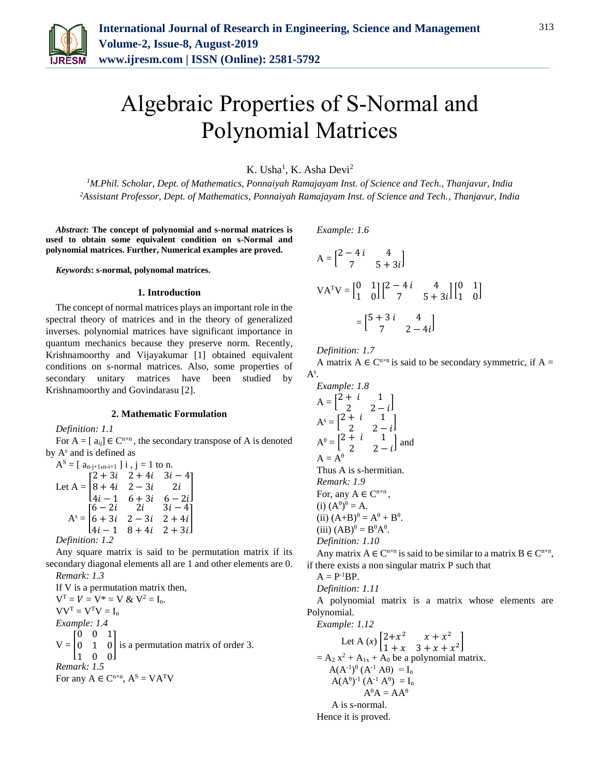

# Algebraic Properties of S-Normal and Polynomial Matrices

K. Usha<sup>1</sup>, K. Asha Devi<sup>2</sup>

*<sup>1</sup>M.Phil. Scholar, Dept. of Mathematics, Ponnaiyah Ramajayam Inst. of Science and Tech., Thanjavur, India 2Assistant Professor, Dept. of Mathematics, Ponnaiyah Ramajayam Inst. of Science and Tech., Thanjavur, India*

*Abstract***: The concept of polynomial and s-normal matrices is used to obtain some equivalent condition on s-Normal and polynomial matrices. Further, Numerical examples are proved.**

*Keywords***: s-normal, polynomal matrices.**

#### **1. Introduction**

The concept of normal matrices plays an important role in the spectral theory of matrices and in the theory of generalized inverses. polynomial matrices have significant importance in quantum mechanics because they preserve norm. Recently, Krishnamoorthy and Vijayakumar [1] obtained equivalent conditions on s-normal matrices. Also, some properties of secondary unitary matrices have been studied by Krishnamoorthy and Govindarasu [2].

### **2. Mathematic Formulation**

*Definition: 1.1*

For  $A = [a_{ij}] \in C^{n \times n}$ , the secondary transpose of A is denoted by  $A^s$  and is defined as

$$
AS = [an-j+1,n-i+1] i, j = 1 to n.
$$
  
Let A = 
$$
\begin{bmatrix} 2+3i & 2+4i & 3i-4 \\ 8+4i & 2-3i & 2i \\ 4i-1 & 6+3i & 6-2i \end{bmatrix}
$$
  

$$
AS = \begin{bmatrix} 6-2i & 2i & 3i-4 \\ 6+3i & 2-3i & 2+4i \\ 4i-1 & 8+4i & 2+3i \end{bmatrix}
$$
  
Definition: 1.2

Any square matrix is said to be permutation matrix if its secondary diagonal elements all are 1 and other elements are 0. *Remark: 1.3*

If V is a permutation matrix then,  $V^{T} = V = V^{*} = V & V^{2} = I_{n}$ .  $VV<sup>T</sup> = V<sup>T</sup>V = I<sub>n</sub>$ *Example: 1.4*  $V = \vert 0 \vert$  $[0 \ 0 \ 1]$ 0 1 0 is a permutation matrix of order 3.  $\begin{bmatrix} 1 & 0 & 0 \end{bmatrix}$ *Remark: 1.5* For any  $A \in C^{n \times n}$ ,  $A^S = VA^T V$ 

*Example: 1.6*

$$
A = \begin{bmatrix} 2 - 4i & 4 \\ 7 & 5 + 3i \end{bmatrix}
$$
  
\n
$$
VA^{T}V = \begin{bmatrix} 0 & 1 \\ 1 & 0 \end{bmatrix} \begin{bmatrix} 2 - 4i & 4 \\ 7 & 5 + 3i \end{bmatrix} \begin{bmatrix} 0 & 1 \\ 1 & 0 \end{bmatrix}
$$
  
\n
$$
= \begin{bmatrix} 5 + 3i & 4 \\ 7 & 2 - 4i \end{bmatrix}
$$

*Definition: 1.7*

A matrix  $A \in C^{n \times n}$  is said to be secondary symmetric, if  $A =$  $A^s$ .

Example: 1.8  
\n
$$
A = \begin{bmatrix} 2+i & 1 \\ 2 & 2-i \end{bmatrix}
$$
\n
$$
A^s = \begin{bmatrix} 2+i & 1 \\ 2 & 2-i \end{bmatrix}
$$
\n
$$
A^{\theta} = \begin{bmatrix} 2+i & 1 \\ 2 & 2-i \end{bmatrix}
$$
\nand  
\n
$$
A = A^{\theta}
$$
\nThus A is s-hermitian.  
\nRemark: 1.9  
\nFor, any A  $\in$  C<sup>n×n</sup>,  
\n(i)  $(A^{\theta})^{\theta} = A$ .  
\n(ii)  $(A+B)^{\theta} = A^{\theta} + B^{\theta}$ .  
\n(iii)  $(AB)^{\theta} = B^{\theta}A^{\theta}$ .  
\nDefinition: 1.10  
\nAny matrix A  $\in$  C<sup>n×n</sup> is said to

 $n \times n$  is said to be similar to a matrix  $B \in C^{n \times n}$ , if there exists a non singular matrix P such that

 $A = P^{-1}BP$ .

*Definition: 1.11*

A polynomial matrix is a matrix whose elements are Polynomial.

*Example: 1.12*

Let A (x) 
$$
\begin{bmatrix} 2+x^2 & x+x^2 \\ 1+x & 3+x+x^2 \end{bmatrix}
$$
  
= A<sub>2</sub> x<sup>2</sup> + A<sub>1x</sub> + A<sub>0</sub> be a polynomial matrix.  
A(A<sup>-1</sup>)<sup>0</sup> (A<sup>-1</sup> A<sup>0</sup>) = I<sub>n</sub>  
A(A<sup>0</sup>)<sup>-1</sup> (A<sup>-1</sup> A<sup>0</sup>) = I<sub>n</sub>  
A<sup>0</sup>A = AA<sup>0</sup>  
A is s-normal.

Hence it is proved.